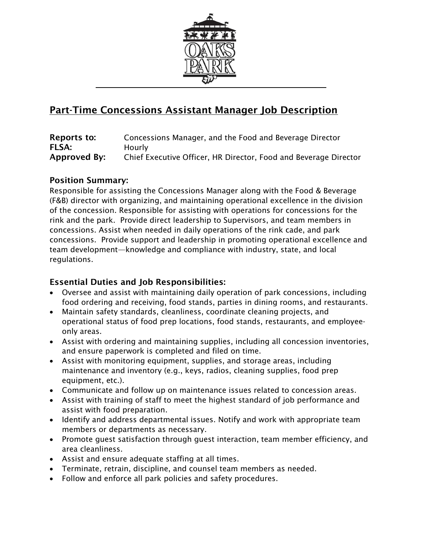

# Part-Time Concessions Assistant Manager Job Description

| Reports to:  | Concessions Manager, and the Food and Beverage Director          |
|--------------|------------------------------------------------------------------|
| <b>FLSA:</b> | Hourly                                                           |
| Approved By: | Chief Executive Officer, HR Director, Food and Beverage Director |

## Position Summary:

Responsible for assisting the Concessions Manager along with the Food & Beverage (F&B) director with organizing, and maintaining operational excellence in the division of the concession. Responsible for assisting with operations for concessions for the rink and the park. Provide direct leadership to Supervisors, and team members in concessions. Assist when needed in daily operations of the rink cade, and park concessions. Provide support and leadership in promoting operational excellence and team development—knowledge and compliance with industry, state, and local regulations.

## Essential Duties and Job Responsibilities:

- Oversee and assist with maintaining daily operation of park concessions, including food ordering and receiving, food stands, parties in dining rooms, and restaurants.
- Maintain safety standards, cleanliness, coordinate cleaning projects, and operational status of food prep locations, food stands, restaurants, and employeeonly areas.
- Assist with ordering and maintaining supplies, including all concession inventories, and ensure paperwork is completed and filed on time.
- Assist with monitoring equipment, supplies, and storage areas, including maintenance and inventory (e.g., keys, radios, cleaning supplies, food prep equipment, etc.).
- Communicate and follow up on maintenance issues related to concession areas.
- Assist with training of staff to meet the highest standard of job performance and assist with food preparation.
- Identify and address departmental issues. Notify and work with appropriate team members or departments as necessary.
- Promote guest satisfaction through guest interaction, team member efficiency, and area cleanliness.
- Assist and ensure adequate staffing at all times.
- Terminate, retrain, discipline, and counsel team members as needed.
- Follow and enforce all park policies and safety procedures.